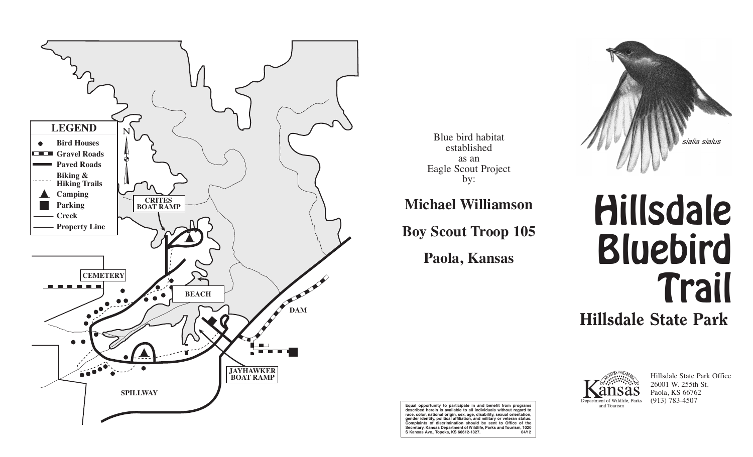

Blue bird habitat established as an Eagle Scout Project by:

**Michael Williamson**

**Boy Scout Troop 105**

**Paola, Kansas**



## Hillsdale Bluebird **Trail** Hillsdale State Park



Hillsdale State Park Office 26001 W. 255th St. Paola, KS 66762 (913) 783-4507

**Equal opportunity to participate in and benefit from programs described herein is available to all individuals without regard to race, color, national origin, sex, age, disability, sexual orientation, gender identity, political affiliation, and military or veteran status. Complaints of discrimination should be sent to Office of the Secretary, Kansas Department of Wildlife, Parks and Tourism, 1020 S Kansas Ave., Topeka, KS 66612-1327. 04/12**